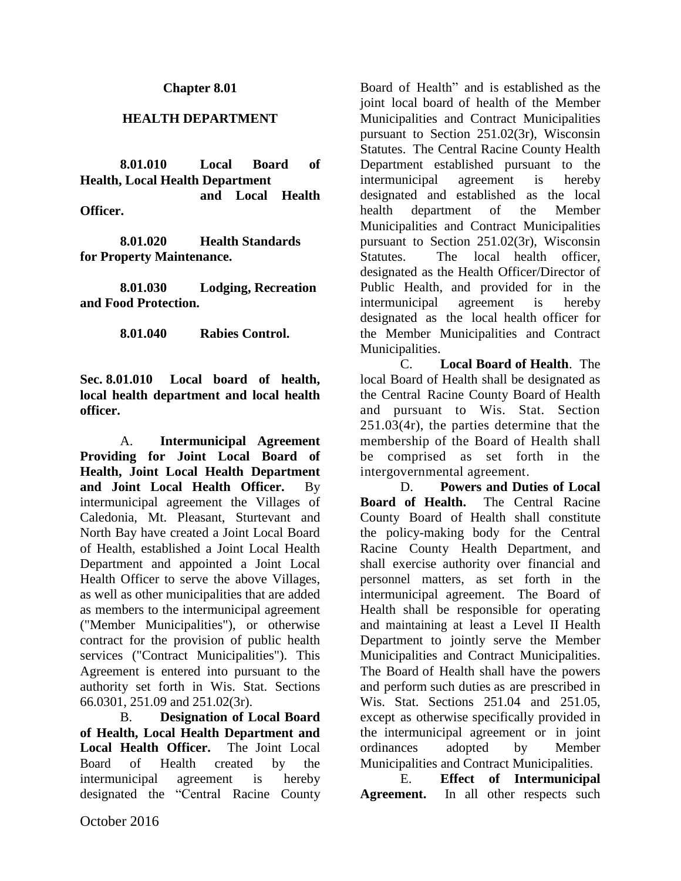#### **Chapter 8.01**

#### **HEALTH DEPARTMENT**

**8.01.010 Local Board of Health, Local Health Department and Local Health Officer.**

**8.01.020 Health Standards for Property Maintenance.**

**8.01.030 Lodging, Recreation and Food Protection.**

**8.01.040 Rabies Control.**

**Sec. 8.01.010 Local board of health, local health department and local health officer.**

A. **Intermunicipal Agreement Providing for Joint Local Board of Health, Joint Local Health Department and Joint Local Health Officer.** By intermunicipal agreement the Villages of Caledonia, Mt. Pleasant, Sturtevant and North Bay have created a Joint Local Board of Health, established a Joint Local Health Department and appointed a Joint Local Health Officer to serve the above Villages, as well as other municipalities that are added as members to the intermunicipal agreement ("Member Municipalities"), or otherwise contract for the provision of public health services ("Contract Municipalities"). This Agreement is entered into pursuant to the authority set forth in Wis. Stat. Sections 66.0301, 251.09 and 251.02(3r).

B. **Designation of Local Board of Health, Local Health Department and Local Health Officer.** The Joint Local Board of Health created by the intermunicipal agreement is hereby designated the "Central Racine County Board of Health" and is established as the joint local board of health of the Member Municipalities and Contract Municipalities pursuant to Section 251.02(3r), Wisconsin Statutes. The Central Racine County Health Department established pursuant to the intermunicipal agreement is hereby designated and established as the local health department of the Member Municipalities and Contract Municipalities pursuant to Section 251.02(3r), Wisconsin Statutes. The local health officer, designated as the Health Officer/Director of Public Health, and provided for in the intermunicipal agreement is hereby designated as the local health officer for the Member Municipalities and Contract Municipalities.

C. **Local Board of Health**. The local Board of Health shall be designated as the Central Racine County Board of Health and pursuant to Wis. Stat. Section 251.03(4r), the parties determine that the membership of the Board of Health shall be comprised as set forth in the intergovernmental agreement.

D. **Powers and Duties of Local Board of Health.** The Central Racine County Board of Health shall constitute the policy-making body for the Central Racine County Health Department, and shall exercise authority over financial and personnel matters, as set forth in the intermunicipal agreement. The Board of Health shall be responsible for operating and maintaining at least a Level II Health Department to jointly serve the Member Municipalities and Contract Municipalities. The Board of Health shall have the powers and perform such duties as are prescribed in Wis. Stat. Sections 251.04 and 251.05, except as otherwise specifically provided in the intermunicipal agreement or in joint ordinances adopted by Member Municipalities and Contract Municipalities.

E. **Effect of Intermunicipal**  Agreement. In all other respects such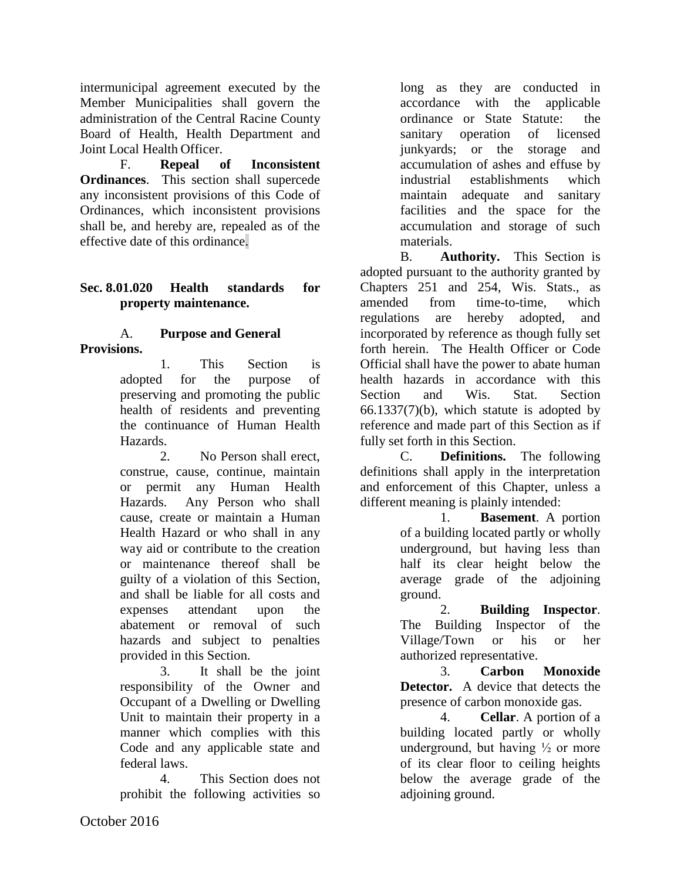intermunicipal agreement executed by the Member Municipalities shall govern the administration of the Central Racine County Board of Health, Health Department and Joint Local Health Officer.

F. **Repeal of Inconsistent Ordinances**. This section shall supercede any inconsistent provisions of this Code of Ordinances, which inconsistent provisions shall be, and hereby are, repealed as of the effective date of this ordinance.

### **Sec. 8.01.020 Health standards for property maintenance.**

#### A. **Purpose and General Provisions.**

1. This Section is adopted for the purpose of preserving and promoting the public health of residents and preventing the continuance of Human Health Hazards.

2. No Person shall erect, construe, cause, continue, maintain or permit any Human Health Hazards. Any Person who shall cause, create or maintain a Human Health Hazard or who shall in any way aid or contribute to the creation or maintenance thereof shall be guilty of a violation of this Section, and shall be liable for all costs and expenses attendant upon the abatement or removal of such hazards and subject to penalties provided in this Section.

3. It shall be the joint responsibility of the Owner and Occupant of a Dwelling or Dwelling Unit to maintain their property in a manner which complies with this Code and any applicable state and federal laws.

4. This Section does not prohibit the following activities so long as they are conducted in accordance with the applicable ordinance or State Statute: the sanitary operation of licensed junkyards; or the storage and accumulation of ashes and effuse by industrial establishments which maintain adequate and sanitary facilities and the space for the accumulation and storage of such materials.

B. **Authority.** This Section is adopted pursuant to the authority granted by Chapters 251 and 254, Wis. Stats., as amended from time-to-time, which regulations are hereby adopted, and incorporated by reference as though fully set forth herein. The Health Officer or Code Official shall have the power to abate human health hazards in accordance with this Section and Wis. Stat. Section 66.1337(7)(b), which statute is adopted by reference and made part of this Section as if fully set forth in this Section.

C. **Definitions.** The following definitions shall apply in the interpretation and enforcement of this Chapter, unless a different meaning is plainly intended:

1. **Basement**. A portion of a building located partly or wholly underground, but having less than half its clear height below the average grade of the adjoining ground.

2. **Building Inspector**. The Building Inspector of the Village/Town or his or her authorized representative.

3. **Carbon Monoxide Detector.** A device that detects the presence of carbon monoxide gas.

4. **Cellar**. A portion of a building located partly or wholly underground, but having  $\frac{1}{2}$  or more of its clear floor to ceiling heights below the average grade of the adjoining ground.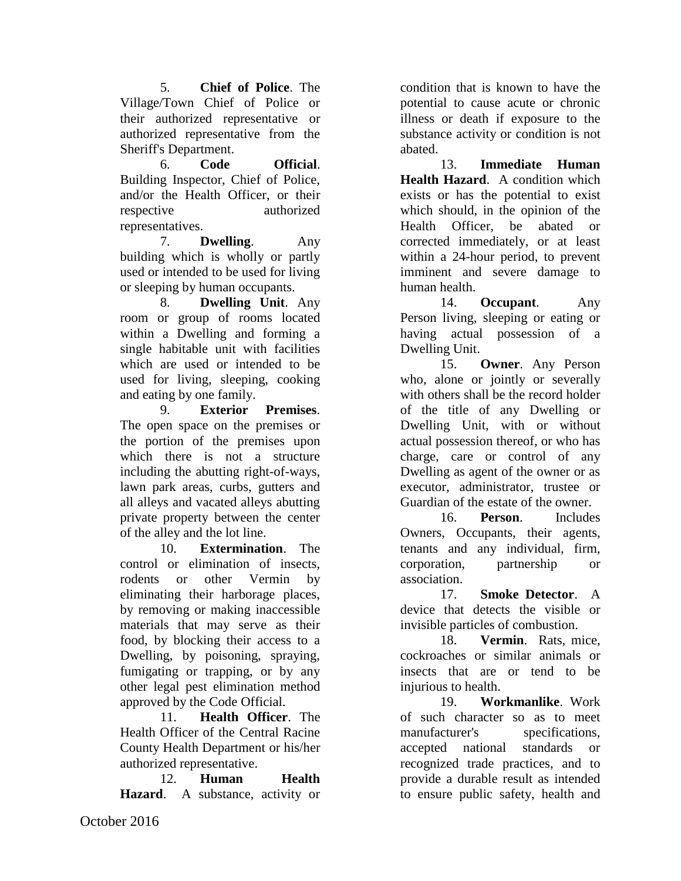5. **Chief of Police**. The Village/Town Chief of Police or their authorized representative or authorized representative from the Sheriff's Department.

6. **Code Official**. Building Inspector, Chief of Police, and/or the Health Officer, or their respective authorized representatives.

7. **Dwelling**. Any building which is wholly or partly used or intended to be used for living or sleeping by human occupants.

8. **Dwelling Unit**. Any room or group of rooms located within a Dwelling and forming a single habitable unit with facilities which are used or intended to be used for living, sleeping, cooking and eating by one family.

9. **Exterior Premises**. The open space on the premises or the portion of the premises upon which there is not a structure including the abutting right-of-ways, lawn park areas, curbs, gutters and all alleys and vacated alleys abutting private property between the center of the alley and the lot line.

10. **Extermination**. The control or elimination of insects, rodents or other Vermin by eliminating their harborage places, by removing or making inaccessible materials that may serve as their food, by blocking their access to a Dwelling, by poisoning, spraying, fumigating or trapping, or by any other legal pest elimination method approved by the Code Official.

11. **Health Officer**. The Health Officer of the Central Racine County Health Department or his/her authorized representative.

12. **Human Health Hazard**. A substance, activity or

condition that is known to have the potential to cause acute or chronic illness or death if exposure to the substance activity or condition is not abated.

13. **Immediate Human Health Hazard**. A condition which exists or has the potential to exist which should, in the opinion of the Health Officer, be abated or corrected immediately, or at least within a 24-hour period, to prevent imminent and severe damage to human health.

14. **Occupant**. Any Person living, sleeping or eating or having actual possession of a Dwelling Unit.

15. **Owner**. Any Person who, alone or jointly or severally with others shall be the record holder of the title of any Dwelling or Dwelling Unit, with or without actual possession thereof, or who has charge, care or control of any Dwelling as agent of the owner or as executor, administrator, trustee or Guardian of the estate of the owner.

16. **Person**. Includes Owners, Occupants, their agents, tenants and any individual, firm, corporation, partnership or association.

17. **Smoke Detector**. A device that detects the visible or invisible particles of combustion.

18. **Vermin**. Rats, mice, cockroaches or similar animals or insects that are or tend to be injurious to health.

19. **Workmanlike**. Work of such character so as to meet manufacturer's specifications, accepted national standards or recognized trade practices, and to provide a durable result as intended to ensure public safety, health and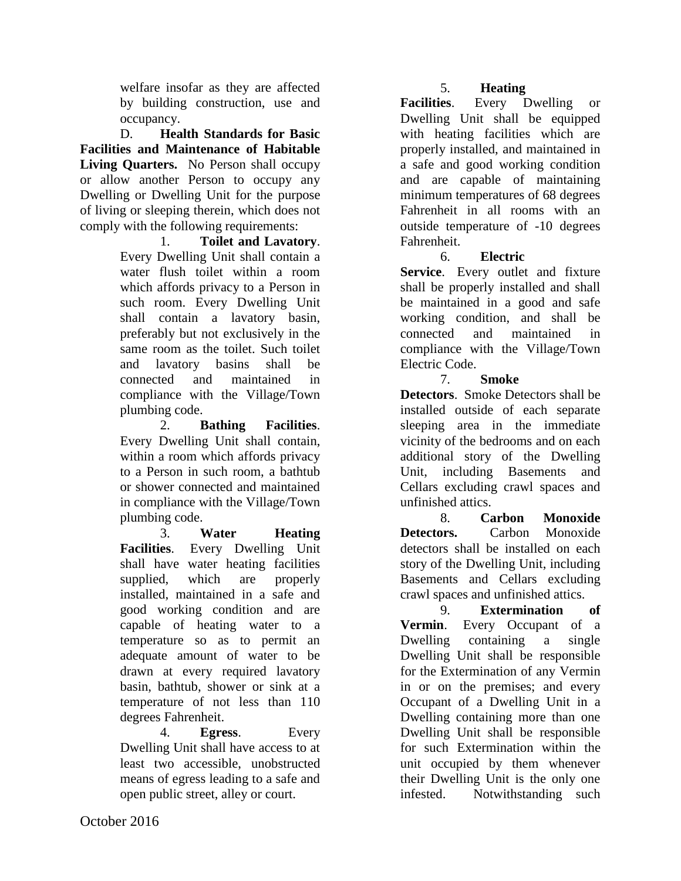welfare insofar as they are affected by building construction, use and occupancy.

D. **Health Standards for Basic Facilities and Maintenance of Habitable Living Quarters.** No Person shall occupy or allow another Person to occupy any Dwelling or Dwelling Unit for the purpose of living or sleeping therein, which does not comply with the following requirements:

1. **Toilet and Lavatory**. Every Dwelling Unit shall contain a water flush toilet within a room which affords privacy to a Person in such room. Every Dwelling Unit shall contain a lavatory basin, preferably but not exclusively in the same room as the toilet. Such toilet and lavatory basins shall be connected and maintained in compliance with the Village/Town plumbing code.

2. **Bathing Facilities**. Every Dwelling Unit shall contain, within a room which affords privacy to a Person in such room, a bathtub or shower connected and maintained in compliance with the Village/Town plumbing code.

3. **Water Heating Facilities**. Every Dwelling Unit shall have water heating facilities supplied, which are properly installed, maintained in a safe and good working condition and are capable of heating water to a temperature so as to permit an adequate amount of water to be drawn at every required lavatory basin, bathtub, shower or sink at a temperature of not less than 110 degrees Fahrenheit.

4. **Egress**. Every Dwelling Unit shall have access to at least two accessible, unobstructed means of egress leading to a safe and open public street, alley or court.

# 5. **Heating**

**Facilities**. Every Dwelling or Dwelling Unit shall be equipped with heating facilities which are properly installed, and maintained in a safe and good working condition and are capable of maintaining minimum temperatures of 68 degrees Fahrenheit in all rooms with an outside temperature of -10 degrees Fahrenheit.

# 6. **Electric**

**Service.** Every outlet and fixture shall be properly installed and shall be maintained in a good and safe working condition, and shall be connected and maintained in compliance with the Village/Town Electric Code.

# 7. **Smoke**

**Detectors**. Smoke Detectors shall be installed outside of each separate sleeping area in the immediate vicinity of the bedrooms and on each additional story of the Dwelling Unit, including Basements and Cellars excluding crawl spaces and unfinished attics.

8. **Carbon Monoxide Detectors.** Carbon Monoxide detectors shall be installed on each story of the Dwelling Unit, including Basements and Cellars excluding crawl spaces and unfinished attics.

9. **Extermination of Vermin**. Every Occupant of a Dwelling containing a single Dwelling Unit shall be responsible for the Extermination of any Vermin in or on the premises; and every Occupant of a Dwelling Unit in a Dwelling containing more than one Dwelling Unit shall be responsible for such Extermination within the unit occupied by them whenever their Dwelling Unit is the only one infested. Notwithstanding such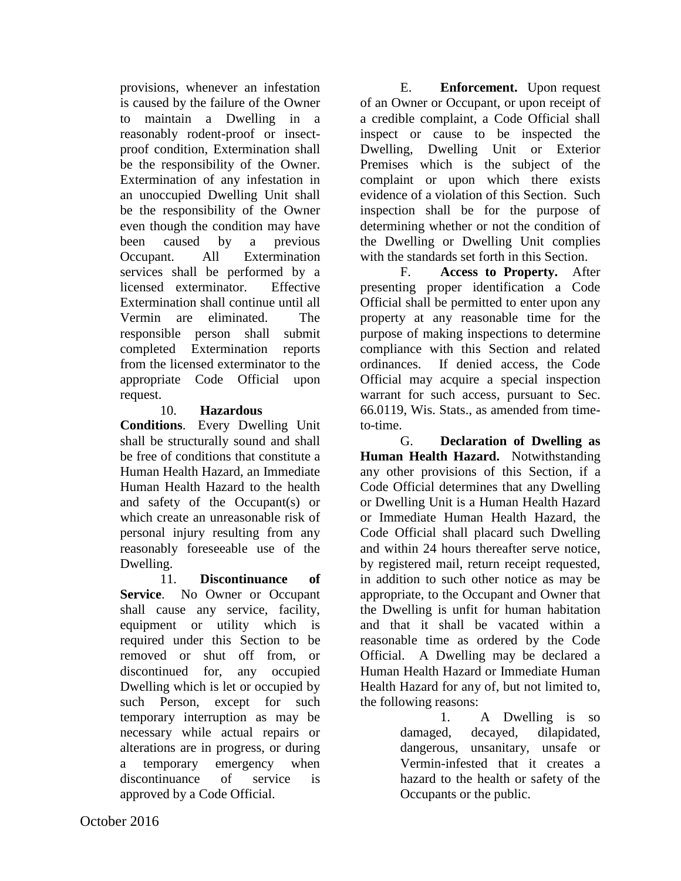provisions, whenever an infestation is caused by the failure of the Owner to maintain a Dwelling in a reasonably rodent-proof or insectproof condition, Extermination shall be the responsibility of the Owner. Extermination of any infestation in an unoccupied Dwelling Unit shall be the responsibility of the Owner even though the condition may have been caused by a previous Occupant. All Extermination services shall be performed by a licensed exterminator. Effective Extermination shall continue until all Vermin are eliminated. The responsible person shall submit completed Extermination reports from the licensed exterminator to the appropriate Code Official upon request.

### 10. **Hazardous**

**Conditions**. Every Dwelling Unit shall be structurally sound and shall be free of conditions that constitute a Human Health Hazard, an Immediate Human Health Hazard to the health and safety of the Occupant(s) or which create an unreasonable risk of personal injury resulting from any reasonably foreseeable use of the Dwelling.

11. **Discontinuance of Service**. No Owner or Occupant shall cause any service, facility, equipment or utility which is required under this Section to be removed or shut off from, or discontinued for, any occupied Dwelling which is let or occupied by such Person, except for such temporary interruption as may be necessary while actual repairs or alterations are in progress, or during a temporary emergency when discontinuance of service is approved by a Code Official.

E. **Enforcement.** Upon request of an Owner or Occupant, or upon receipt of a credible complaint, a Code Official shall inspect or cause to be inspected the Dwelling, Dwelling Unit or Exterior Premises which is the subject of the complaint or upon which there exists evidence of a violation of this Section. Such inspection shall be for the purpose of determining whether or not the condition of the Dwelling or Dwelling Unit complies with the standards set forth in this Section.

F. **Access to Property.** After presenting proper identification a Code Official shall be permitted to enter upon any property at any reasonable time for the purpose of making inspections to determine compliance with this Section and related ordinances. If denied access, the Code Official may acquire a special inspection warrant for such access, pursuant to Sec. 66.0119, Wis. Stats., as amended from timeto-time.

G. **Declaration of Dwelling as Human Health Hazard.** Notwithstanding any other provisions of this Section, if a Code Official determines that any Dwelling or Dwelling Unit is a Human Health Hazard or Immediate Human Health Hazard, the Code Official shall placard such Dwelling and within 24 hours thereafter serve notice, by registered mail, return receipt requested, in addition to such other notice as may be appropriate, to the Occupant and Owner that the Dwelling is unfit for human habitation and that it shall be vacated within a reasonable time as ordered by the Code Official. A Dwelling may be declared a Human Health Hazard or Immediate Human Health Hazard for any of, but not limited to, the following reasons:

> 1. A Dwelling is so damaged, decayed, dilapidated, dangerous, unsanitary, unsafe or Vermin-infested that it creates a hazard to the health or safety of the Occupants or the public.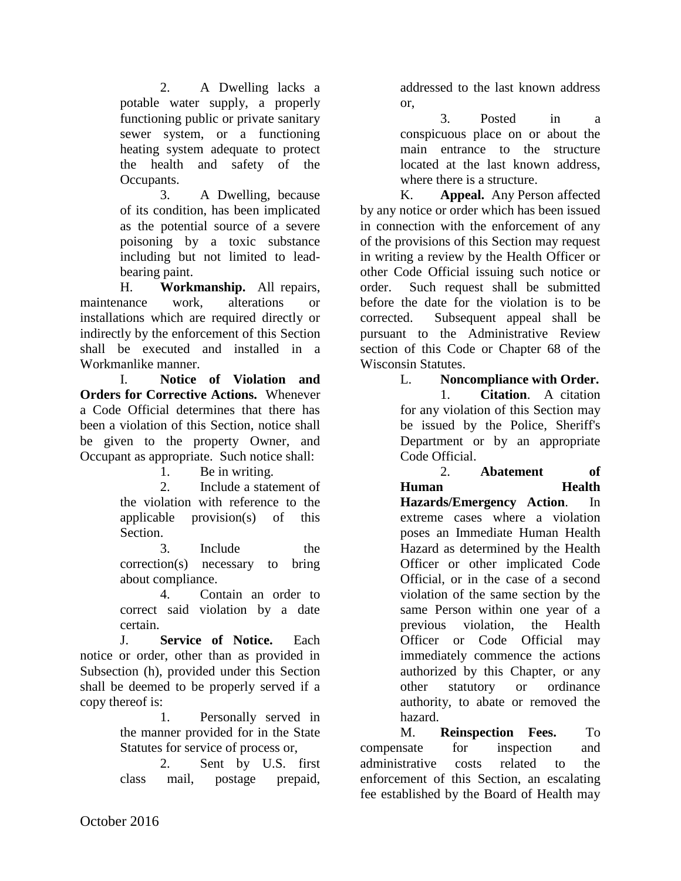2. A Dwelling lacks a potable water supply, a properly functioning public or private sanitary sewer system, or a functioning heating system adequate to protect the health and safety of the Occupants.

3. A Dwelling, because of its condition, has been implicated as the potential source of a severe poisoning by a toxic substance including but not limited to leadbearing paint.

H. **Workmanship.** All repairs, maintenance work, alterations or installations which are required directly or indirectly by the enforcement of this Section shall be executed and installed in a Workmanlike manner.

I. **Notice of Violation and Orders for Corrective Actions.** Whenever a Code Official determines that there has been a violation of this Section, notice shall be given to the property Owner, and Occupant as appropriate. Such notice shall:

1. Be in writing.

2. Include a statement of the violation with reference to the applicable provision(s) of this Section.

3. Include the correction(s) necessary to bring about compliance.

4. Contain an order to correct said violation by a date certain.

J. **Service of Notice.** Each notice or order, other than as provided in Subsection (h), provided under this Section shall be deemed to be properly served if a copy thereof is:

1. Personally served in the manner provided for in the State Statutes for service of process or,

2. Sent by U.S. first class mail, postage prepaid,

addressed to the last known address or,

3. Posted in a conspicuous place on or about the main entrance to the structure located at the last known address, where there is a structure.

K. **Appeal.** Any Person affected by any notice or order which has been issued in connection with the enforcement of any of the provisions of this Section may request in writing a review by the Health Officer or other Code Official issuing such notice or order. Such request shall be submitted before the date for the violation is to be corrected. Subsequent appeal shall be pursuant to the Administrative Review section of this Code or Chapter 68 of the Wisconsin Statutes.

> L. **Noncompliance with Order.** 1. **Citation**. A citation for any violation of this Section may be issued by the Police, Sheriff's Department or by an appropriate Code Official.

> 2. **Abatement of Human Health Hazards/Emergency Action**. In extreme cases where a violation poses an Immediate Human Health Hazard as determined by the Health Officer or other implicated Code Official, or in the case of a second violation of the same section by the same Person within one year of a previous violation, the Health Officer or Code Official may immediately commence the actions authorized by this Chapter, or any other statutory or ordinance authority, to abate or removed the hazard.

M. **Reinspection Fees.** To compensate for inspection and administrative costs related to the enforcement of this Section, an escalating fee established by the Board of Health may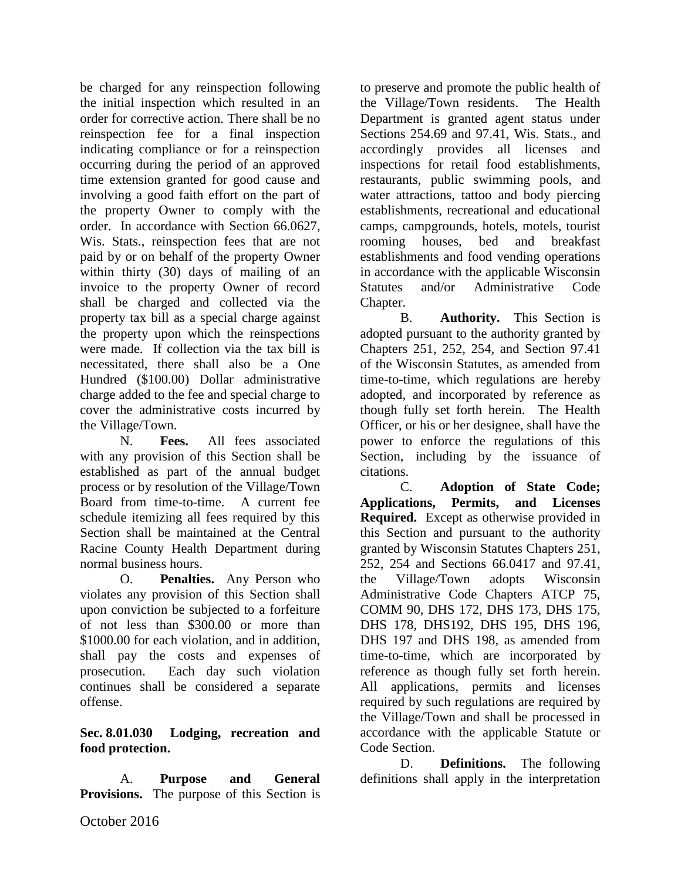be charged for any reinspection following the initial inspection which resulted in an order for corrective action. There shall be no reinspection fee for a final inspection indicating compliance or for a reinspection occurring during the period of an approved time extension granted for good cause and involving a good faith effort on the part of the property Owner to comply with the order. In accordance with Section 66.0627, Wis. Stats., reinspection fees that are not paid by or on behalf of the property Owner within thirty (30) days of mailing of an invoice to the property Owner of record shall be charged and collected via the property tax bill as a special charge against the property upon which the reinspections were made. If collection via the tax bill is necessitated, there shall also be a One Hundred (\$100.00) Dollar administrative charge added to the fee and special charge to cover the administrative costs incurred by the Village/Town.

N. **Fees.** All fees associated with any provision of this Section shall be established as part of the annual budget process or by resolution of the Village/Town Board from time-to-time. A current fee schedule itemizing all fees required by this Section shall be maintained at the Central Racine County Health Department during normal business hours.

O. **Penalties.** Any Person who violates any provision of this Section shall upon conviction be subjected to a forfeiture of not less than \$300.00 or more than \$1000.00 for each violation, and in addition. shall pay the costs and expenses of prosecution. Each day such violation continues shall be considered a separate offense.

### **Sec. 8.01.030 Lodging, recreation and food protection.**

A. **Purpose and General Provisions.** The purpose of this Section is to preserve and promote the public health of the Village/Town residents. The Health Department is granted agent status under Sections 254.69 and 97.41, Wis. Stats., and accordingly provides all licenses and inspections for retail food establishments, restaurants, public swimming pools, and water attractions, tattoo and body piercing establishments, recreational and educational camps, campgrounds, hotels, motels, tourist rooming houses, bed and breakfast establishments and food vending operations in accordance with the applicable Wisconsin Statutes and/or Administrative Code Chapter.

B. **Authority.** This Section is adopted pursuant to the authority granted by Chapters 251, 252, 254, and Section 97.41 of the Wisconsin Statutes, as amended from time-to-time, which regulations are hereby adopted, and incorporated by reference as though fully set forth herein. The Health Officer, or his or her designee, shall have the power to enforce the regulations of this Section, including by the issuance of citations.

C. **Adoption of State Code; Applications, Permits, and Licenses Required.** Except as otherwise provided in this Section and pursuant to the authority granted by Wisconsin Statutes Chapters 251, 252, 254 and Sections 66.0417 and 97.41, the Village/Town adopts Wisconsin Administrative Code Chapters ATCP 75, COMM 90, DHS 172, DHS 173, DHS 175, DHS 178, DHS192, DHS 195, DHS 196, DHS 197 and DHS 198, as amended from time-to-time, which are incorporated by reference as though fully set forth herein. All applications, permits and licenses required by such regulations are required by the Village/Town and shall be processed in accordance with the applicable Statute or Code Section.

D. **Definitions.** The following definitions shall apply in the interpretation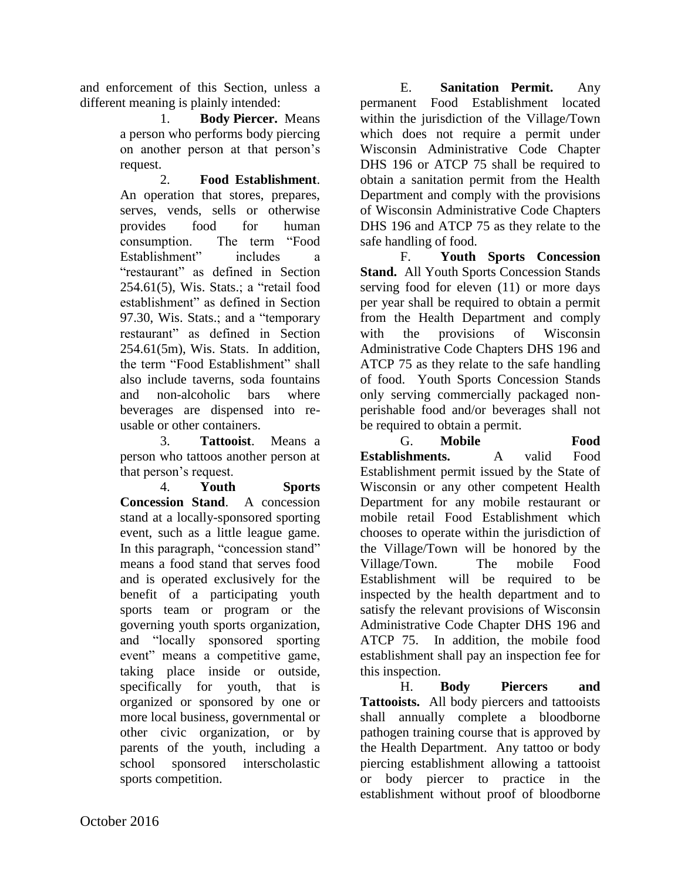and enforcement of this Section, unless a different meaning is plainly intended:

> 1. **Body Piercer.** Means a person who performs body piercing on another person at that person's request.

2. **Food Establishment**. An operation that stores, prepares, serves, vends, sells or otherwise provides food for human consumption. The term "Food Establishment" includes a "restaurant" as defined in Section 254.61(5), Wis. Stats.; a "retail food establishment" as defined in Section 97.30, Wis. Stats.; and a "temporary restaurant" as defined in Section 254.61(5m), Wis. Stats. In addition, the term "Food Establishment" shall also include taverns, soda fountains and non-alcoholic bars where beverages are dispensed into reusable or other containers.

3. **Tattooist**. Means a person who tattoos another person at that person's request.

4. **Youth Sports Concession Stand**. A concession stand at a locally-sponsored sporting event, such as a little league game. In this paragraph, "concession stand" means a food stand that serves food and is operated exclusively for the benefit of a participating youth sports team or program or the governing youth sports organization, and "locally sponsored sporting event" means a competitive game, taking place inside or outside, specifically for youth, that is organized or sponsored by one or more local business, governmental or other civic organization, or by parents of the youth, including a school sponsored interscholastic sports competition.

E. **Sanitation Permit.** Any permanent Food Establishment located within the jurisdiction of the Village/Town which does not require a permit under Wisconsin Administrative Code Chapter DHS 196 or ATCP 75 shall be required to obtain a sanitation permit from the Health Department and comply with the provisions of Wisconsin Administrative Code Chapters DHS 196 and ATCP 75 as they relate to the safe handling of food.

F. **Youth Sports Concession Stand.** All Youth Sports Concession Stands serving food for eleven (11) or more days per year shall be required to obtain a permit from the Health Department and comply with the provisions of Wisconsin Administrative Code Chapters DHS 196 and ATCP 75 as they relate to the safe handling of food. Youth Sports Concession Stands only serving commercially packaged nonperishable food and/or beverages shall not be required to obtain a permit.

G. **Mobile Food Establishments.** A valid Food Establishment permit issued by the State of Wisconsin or any other competent Health Department for any mobile restaurant or mobile retail Food Establishment which chooses to operate within the jurisdiction of the Village/Town will be honored by the Village/Town. The mobile Food Establishment will be required to be inspected by the health department and to satisfy the relevant provisions of Wisconsin Administrative Code Chapter DHS 196 and ATCP 75. In addition, the mobile food establishment shall pay an inspection fee for this inspection.

H. **Body Piercers and Tattooists.** All body piercers and tattooists shall annually complete a bloodborne pathogen training course that is approved by the Health Department. Any tattoo or body piercing establishment allowing a tattooist or body piercer to practice in the establishment without proof of bloodborne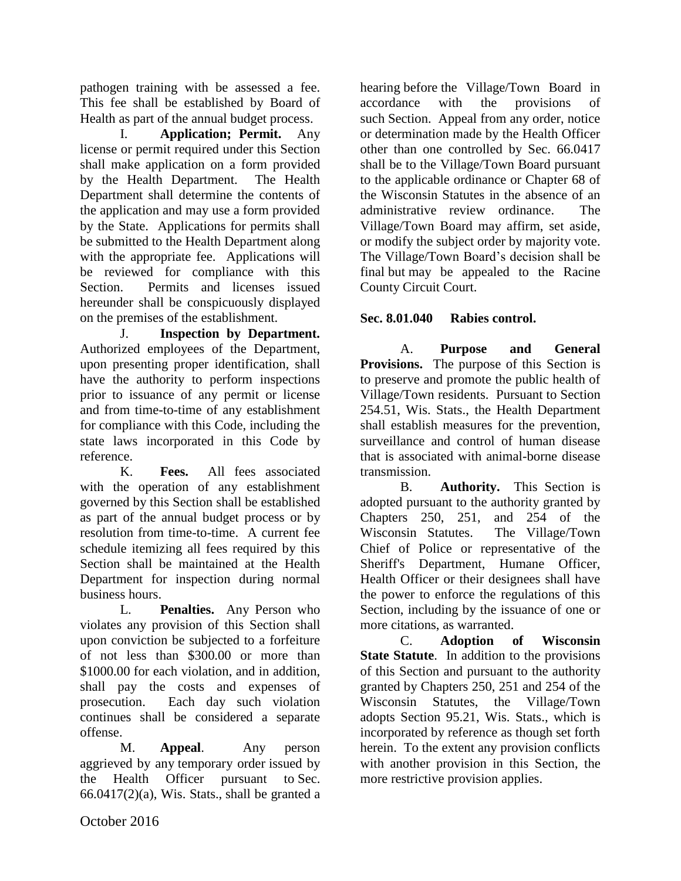pathogen training with be assessed a fee. This fee shall be established by Board of Health as part of the annual budget process.

I. **Application; Permit.** Any license or permit required under this Section shall make application on a form provided by the Health Department. The Health Department shall determine the contents of the application and may use a form provided by the State. Applications for permits shall be submitted to the Health Department along with the appropriate fee. Applications will be reviewed for compliance with this Section. Permits and licenses issued hereunder shall be conspicuously displayed on the premises of the establishment.

J. **Inspection by Department.**  Authorized employees of the Department, upon presenting proper identification, shall have the authority to perform inspections prior to issuance of any permit or license and from time-to-time of any establishment for compliance with this Code, including the state laws incorporated in this Code by reference.

K. **Fees.** All fees associated with the operation of any establishment governed by this Section shall be established as part of the annual budget process or by resolution from time-to-time. A current fee schedule itemizing all fees required by this Section shall be maintained at the Health Department for inspection during normal business hours.

L. **Penalties.** Any Person who violates any provision of this Section shall upon conviction be subjected to a forfeiture of not less than \$300.00 or more than \$1000.00 for each violation, and in addition, shall pay the costs and expenses of prosecution. Each day such violation continues shall be considered a separate offense.

M. **Appeal**. Any person aggrieved by any temporary order issued by the Health Officer pursuant to Sec.  $66.0417(2)(a)$ , Wis. Stats., shall be granted a hearing before the Village/Town Board in accordance with the provisions of such Section. Appeal from any order, notice or determination made by the Health Officer other than one controlled by Sec. 66.0417 shall be to the Village/Town Board pursuant to the applicable ordinance or Chapter 68 of the Wisconsin Statutes in the absence of an administrative review ordinance. The Village/Town Board may affirm, set aside, or modify the subject order by majority vote. The Village/Town Board's decision shall be final but may be appealed to the Racine County Circuit Court.

# **Sec. 8.01.040 Rabies control.**

A. **Purpose and General Provisions.** The purpose of this Section is to preserve and promote the public health of Village/Town residents. Pursuant to Section 254.51, Wis. Stats., the Health Department shall establish measures for the prevention, surveillance and control of human disease that is associated with animal-borne disease transmission.

B. **Authority.** This Section is adopted pursuant to the authority granted by Chapters 250, 251, and 254 of the Wisconsin Statutes. The Village/Town Chief of Police or representative of the Sheriff's Department, Humane Officer, Health Officer or their designees shall have the power to enforce the regulations of this Section, including by the issuance of one or more citations, as warranted.

C. **Adoption of Wisconsin State Statute**. In addition to the provisions of this Section and pursuant to the authority granted by Chapters 250, 251 and 254 of the Wisconsin Statutes, the Village/Town adopts Section 95.21, Wis. Stats., which is incorporated by reference as though set forth herein. To the extent any provision conflicts with another provision in this Section, the more restrictive provision applies.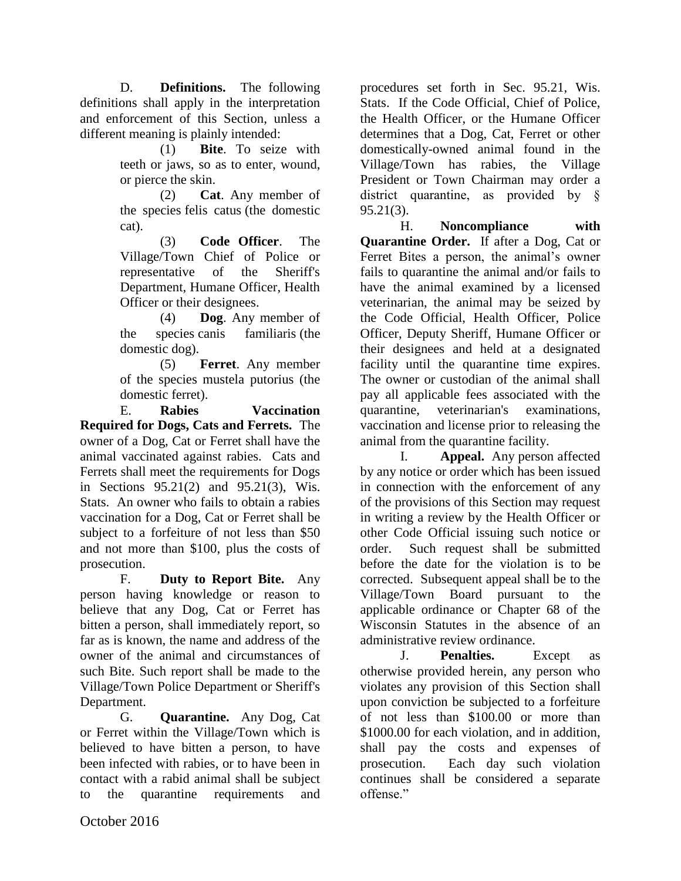D. **Definitions.** The following definitions shall apply in the interpretation and enforcement of this Section, unless a different meaning is plainly intended:

> (1) **Bite**. To seize with teeth or jaws, so as to enter, wound, or pierce the skin.

> (2) **Cat**. Any member of the species felis catus (the domestic cat).

> (3) **Code Officer**. The Village/Town Chief of Police or representative of the Sheriff's Department, Humane Officer, Health Officer or their designees.

(4) **Dog**. Any member of the species canis familiaris (the domestic dog).

(5) **Ferret**. Any member of the species mustela putorius (the domestic ferret).

E. **Rabies Vaccination Required for Dogs, Cats and Ferrets.** The owner of a Dog, Cat or Ferret shall have the animal vaccinated against rabies. Cats and Ferrets shall meet the requirements for Dogs in Sections 95.21(2) and 95.21(3), Wis. Stats. An owner who fails to obtain a rabies vaccination for a Dog, Cat or Ferret shall be subject to a forfeiture of not less than \$50 and not more than \$100, plus the costs of prosecution.

F. **Duty to Report Bite.** Any person having knowledge or reason to believe that any Dog, Cat or Ferret has bitten a person, shall immediately report, so far as is known, the name and address of the owner of the animal and circumstances of such Bite. Such report shall be made to the Village/Town Police Department or Sheriff's Department.

G. **Quarantine.** Any Dog, Cat or Ferret within the Village/Town which is believed to have bitten a person, to have been infected with rabies, or to have been in contact with a rabid animal shall be subject to the quarantine requirements and procedures set forth in Sec. 95.21, Wis. Stats. If the Code Official, Chief of Police, the Health Officer, or the Humane Officer determines that a Dog, Cat, Ferret or other domestically-owned animal found in the Village/Town has rabies, the Village President or Town Chairman may order a district quarantine, as provided by § 95.21(3).

H. **Noncompliance with Quarantine Order.** If after a Dog, Cat or Ferret Bites a person, the animal's owner fails to quarantine the animal and/or fails to have the animal examined by a licensed veterinarian, the animal may be seized by the Code Official, Health Officer, Police Officer, Deputy Sheriff, Humane Officer or their designees and held at a designated facility until the quarantine time expires. The owner or custodian of the animal shall pay all applicable fees associated with the quarantine, veterinarian's examinations, vaccination and license prior to releasing the animal from the quarantine facility.

I. **Appeal.** Any person affected by any notice or order which has been issued in connection with the enforcement of any of the provisions of this Section may request in writing a review by the Health Officer or other Code Official issuing such notice or order. Such request shall be submitted before the date for the violation is to be corrected. Subsequent appeal shall be to the Village/Town Board pursuant to the applicable ordinance or Chapter 68 of the Wisconsin Statutes in the absence of an administrative review ordinance.

J. **Penalties.** Except as otherwise provided herein, any person who violates any provision of this Section shall upon conviction be subjected to a forfeiture of not less than \$100.00 or more than \$1000.00 for each violation, and in addition. shall pay the costs and expenses of prosecution. Each day such violation continues shall be considered a separate offense."